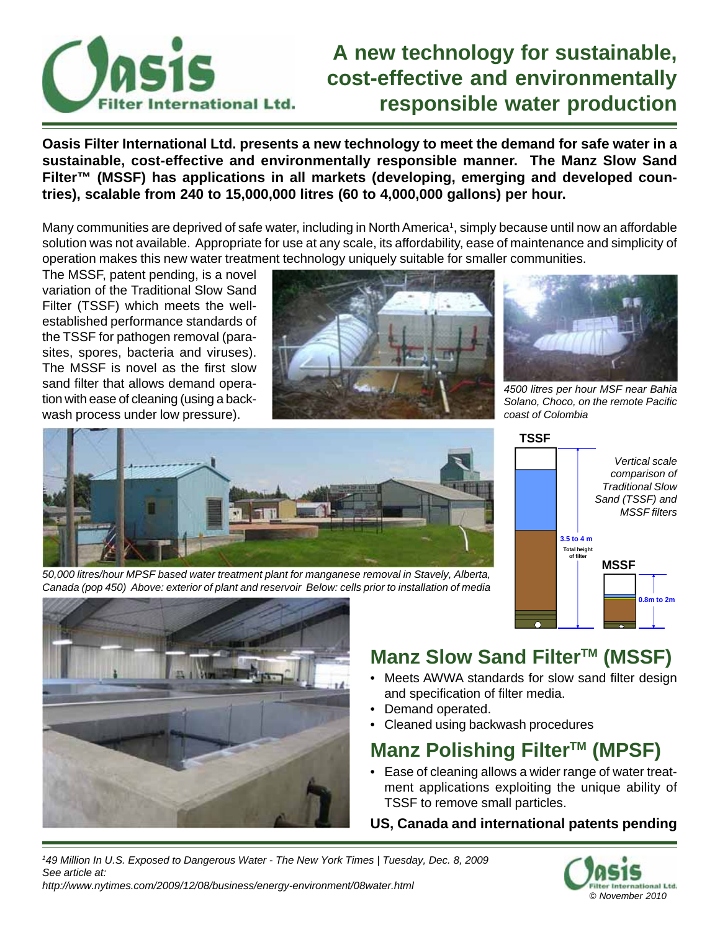

### **A new technology for sustainable, cost-effective and environmentally responsible water production**

**Oasis Filter International Ltd. presents a new technology to meet the demand for safe water in a sustainable, cost-effective and environmentally responsible manner. The Manz Slow Sand Filter™ (MSSF) has applications in all markets (developing, emerging and developed countries), scalable from 240 to 15,000,000 litres (60 to 4,000,000 gallons) per hour.**

Many communities are deprived of safe water, including in North America<sup>1</sup>, simply because until now an affordable solution was not available. Appropriate for use at any scale, its affordability, ease of maintenance and simplicity of operation makes this new water treatment technology uniquely suitable for smaller communities.

The MSSF, patent pending, is a novel variation of the Traditional Slow Sand Filter (TSSF) which meets the wellestablished performance standards of the TSSF for pathogen removal (parasites, spores, bacteria and viruses). The MSSF is novel as the first slow sand filter that allows demand operation with ease of cleaning (using a backwash process under low pressure).





*4500 litres per hour MSF near Bahia Solano, Choco, on the remote Pacific coast of Colombia*



**TSSF**





## **Manz Slow Sand Filter™ (MSSF)**

- Meets AWWA standards for slow sand filter design and specification of filter media.
- Demand operated.
- Cleaned using backwash procedures

### **Manz Polishing Filter™ (MPSF)**

• Ease of cleaning allows a wider range of water treatment applications exploiting the unique ability of TSSF to remove small particles.

#### **US, Canada and international patents pending**

*1 49 Million In U.S. Exposed to Dangerous Water - The New York Times | Tuesday, Dec. 8, 2009 See article at: http://www.nytimes.com/2009/12/08/business/energy-environment/08water.html*

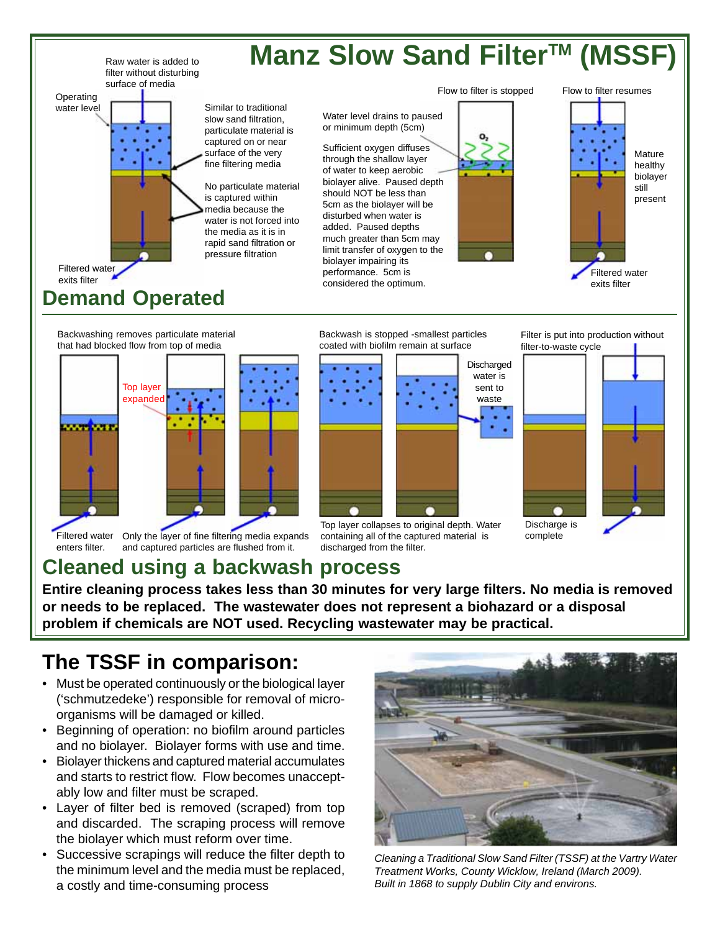

Backwashing removes particulate material that had blocked flow from top of media



Filtered water Only the layer of fine filtering media expands enters filter. and captured particles are flushed from it.

Backwash is stopped -smallest particles coated with biofilm remain at surface



Top layer collapses to original depth. Water containing all of the captured material is discharged from the filter.

Filter is put into production without filter-to-waste cycle



#### **Cleaned using a backwash process**

**Entire cleaning process takes less than 30 minutes for very large filters. No media is removed or needs to be replaced. The wastewater does not represent a biohazard or a disposal problem if chemicals are NOT used. Recycling wastewater may be practical.**

#### **The TSSF in comparison:**

- Must be operated continuously or the biological layer ('schmutzedeke') responsible for removal of microorganisms will be damaged or killed.
- Beginning of operation: no biofilm around particles and no biolayer. Biolayer forms with use and time.
- Biolayer thickens and captured material accumulates and starts to restrict flow. Flow becomes unacceptably low and filter must be scraped.
- Layer of filter bed is removed (scraped) from top and discarded. The scraping process will remove the biolayer which must reform over time.
- Successive scrapings will reduce the filter depth to the minimum level and the media must be replaced, a costly and time-consuming process



*Cleaning a Traditional Slow Sand Filter (TSSF) at the Vartry Water Treatment Works, County Wicklow, Ireland (March 2009). Built in 1868 to supply Dublin City and environs.*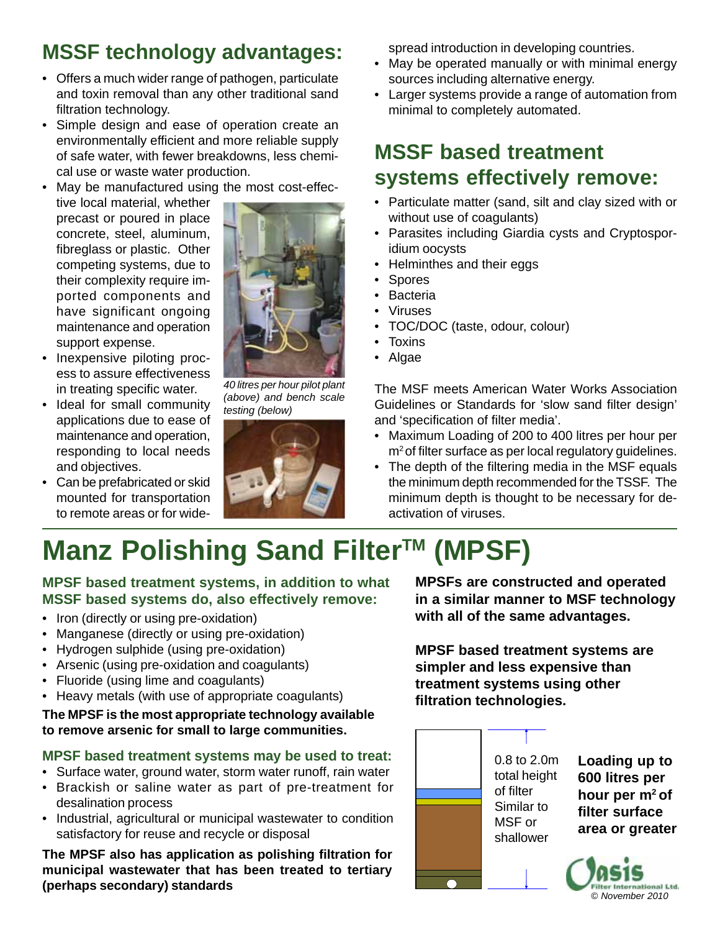## **MSSF technology advantages:**

- Offers a much wider range of pathogen, particulate and toxin removal than any other traditional sand filtration technology.
- Simple design and ease of operation create an environmentally efficient and more reliable supply of safe water, with fewer breakdowns, less chemical use or waste water production.
- May be manufactured using the most cost-effec-
- tive local material, whether precast or poured in place concrete, steel, aluminum, fibreglass or plastic. Other competing systems, due to their complexity require imported components and have significant ongoing maintenance and operation support expense.



- Inexpensive piloting process to assure effectiveness in treating specific water.
- Ideal for small community applications due to ease of maintenance and operation, responding to local needs and objectives.
- Can be prefabricated or skid mounted for transportation to remote areas or for wide-



*(above) and bench scale testing (below)*



spread introduction in developing countries.

- May be operated manually or with minimal energy sources including alternative energy.
- Larger systems provide a range of automation from minimal to completely automated.

## **MSSF based treatment systems effectively remove:**

- Particulate matter (sand, silt and clay sized with or without use of coagulants)
- Parasites including Giardia cysts and Cryptosporidium oocysts
- Helminthes and their eggs
- Spores
- Bacteria
- Viruses
- TOC/DOC (taste, odour, colour)
- Toxins
- Algae

The MSF meets American Water Works Association Guidelines or Standards for 'slow sand filter design' and 'specification of filter media'.

- Maximum Loading of 200 to 400 litres per hour per  $m<sup>2</sup>$  of filter surface as per local regulatory guidelines.
- The depth of the filtering media in the MSF equals the minimum depth recommended for the TSSF. The minimum depth is thought to be necessary for deactivation of viruses.

# **Manz Polishing Sand Filter™ (MPSF)**

#### **MPSF based treatment systems, in addition to what MSSF based systems do, also effectively remove:**

- Iron (directly or using pre-oxidation)
- Manganese (directly or using pre-oxidation)
- Hydrogen sulphide (using pre-oxidation)
- Arsenic (using pre-oxidation and coagulants)
- Fluoride (using lime and coagulants)
- Heavy metals (with use of appropriate coagulants)

#### **The MPSF is the most appropriate technology available to remove arsenic for small to large communities.**

#### **MPSF based treatment systems may be used to treat:**

- Surface water, ground water, storm water runoff, rain water • Brackish or saline water as part of pre-treatment for
- desalination process
- Industrial, agricultural or municipal wastewater to condition satisfactory for reuse and recycle or disposal

**The MPSF also has application as polishing filtration for municipal wastewater that has been treated to tertiary (perhaps secondary) standards**

**MPSFs are constructed and operated in a similar manner to MSF technology with all of the same advantages.**

**MPSF based treatment systems are simpler and less expensive than treatment systems using other filtration technologies.**



**Loading up to 600 litres per hour per m2 of filter surface area or greater**